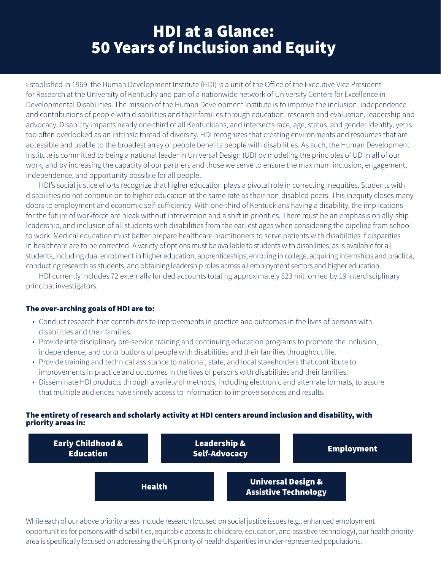Established in 1969, the Human Development Institute (HDI) is a unit of the Office of the Executive Vice President for Research at the University of Kentucky and part of a nationwide network of University Centers for Excellence in Developmental Disabilities. The mission of the Human Development Institute is to improve the inclusion, independence and contributions of people with disabilities and their families through education, research and evaluation, leadership and advocacy. Disability impacts nearly one-third of all Kentuckians, and intersects race, age, status, and gender identity, yet is too often overlooked as an intrinsic thread of diversity. HDI recognizes that creating environments and resources that are accessible and usable to the broadest array of people benefits people with disabilities. As such, the Human Development Institute is committed to being a national leader in Universal Design (UD) by modeling the principles of UD in all of our work, and by increasing the capacity of our partners and those we serve to ensure the maximum inclusion, engagement, independence, and opportunity possible for all people.

HDI's social justice efforts recognize that higher education plays a pivotal role in correcting inequities. Students with disabilities do not continue on to higher education at the same rate as their non-disabled peers. This inequity closes many doors to employment and economic self-sufficiency. With one-third of Kentuckians having a disability, the implications for the future of workforce are bleak without intervention and a shift in priorities. There must be an emphasis on ally-ship leadership, and inclusion of all students with disabilities from the earliest ages when considering the pipeline from school to work. Medical education must better prepare healthcare practitioners to serve patients with disabilities if disparities in healthcare are to be corrected. A variety of options must be available to students with disabilities, as is available for all students, including dual enrollment in higher education, apprenticeships, enrolling in college, acquiring internships and practica, conducting research as students, and obtaining leadership roles across all employment sectors and higher education.

HDI currently includes 72 externally funded accounts totaling approximately \$23 million led by 19 interdisciplinary principal investigators.

#### The over-arching goals of HDI are to:

- Conduct research that contributes to improvements in practice and outcomes in the lives of persons with disabilities and their families.
- Provide interdisciplinary pre-service training and continuing education programs to promote the inclusion, independence, and contributions of people with disabilities and their families throughout life.
- Provide training and technical assistance to national, state, and local stakeholders that contribute to improvements in practice and outcomes in the lives of persons with disabilities and their families.
- Disseminate HDI products through a variety of methods, including electronic and alternate formats, to assure that multiple audiences have timely access to information to improve services and results.

#### The entirety of research and scholarly activity at HDI centers around inclusion and disability, with priority areas in:



While each of our above priority areas include research focused on social justice issues (e.g., enhanced employment opportunities for persons with disabilities, equitable access to childcare, education, and assistive technology), our health priority area is specifically focused on addressing the UK priority of health disparities in under-represented populations.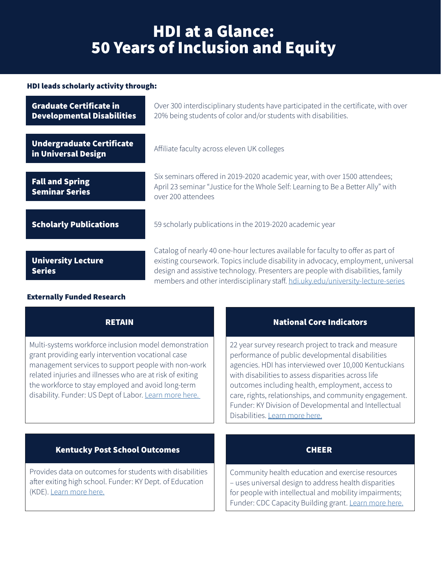## HDI leads scholarly activity through:

| <b>Graduate Certificate in</b><br><b>Developmental Disabilities</b> | Over 300 interdisciplinary students have participated in the certificate, with over<br>20% being students of color and/or students with disabilities.                                                                                                                                                                                         |
|---------------------------------------------------------------------|-----------------------------------------------------------------------------------------------------------------------------------------------------------------------------------------------------------------------------------------------------------------------------------------------------------------------------------------------|
| <b>Undergraduate Certificate</b><br>in Universal Design             | Affiliate faculty across eleven UK colleges                                                                                                                                                                                                                                                                                                   |
| <b>Fall and Spring</b><br><b>Seminar Series</b>                     | Six seminars offered in 2019-2020 academic year, with over 1500 attendees;<br>April 23 seminar "Justice for the Whole Self: Learning to Be a Better Ally" with<br>over 200 attendees                                                                                                                                                          |
| <b>Scholarly Publications</b>                                       | 59 scholarly publications in the 2019-2020 academic year                                                                                                                                                                                                                                                                                      |
| <b>University Lecture</b><br><b>Series</b>                          | Catalog of nearly 40 one-hour lectures available for faculty to offer as part of<br>existing coursework. Topics include disability in advocacy, employment, universal<br>design and assistive technology. Presenters are people with disabilities, family<br>members and other interdisciplinary staff. hdi.uky.edu/university-lecture-series |

### Externally Funded Research

| <b>RETAIN</b>                                                                                                                                                                                                                                                                                                                                   | <b>National Core Indicators</b>                                                                                                                                                                                                                                                                                                                                                                                                   |  |
|-------------------------------------------------------------------------------------------------------------------------------------------------------------------------------------------------------------------------------------------------------------------------------------------------------------------------------------------------|-----------------------------------------------------------------------------------------------------------------------------------------------------------------------------------------------------------------------------------------------------------------------------------------------------------------------------------------------------------------------------------------------------------------------------------|--|
| Multi-systems workforce inclusion model demonstration<br>grant providing early intervention vocational case<br>management services to support people with non-work<br>related injuries and illnesses who are at risk of exiting<br>the workforce to stay employed and avoid long-term<br>disability. Funder: US Dept of Labor. Learn more here. | 22 year survey research project to track and measure<br>performance of public developmental disabilities<br>agencies. HDI has interviewed over 10,000 Kentuckians<br>with disabilities to assess disparities across life<br>outcomes including health, employment, access to<br>care, rights, relationships, and community engagement.<br>Funder: KY Division of Developmental and Intellectual<br>Disabilities. Learn more here. |  |
| <b>Kentucky Post School Outcomes</b>                                                                                                                                                                                                                                                                                                            | <b>CHEER</b>                                                                                                                                                                                                                                                                                                                                                                                                                      |  |
| Provides data on outcomes for students with disabilities<br>after exiting high school. Funder: KY Dept. of Education<br>(KDE). Learn more here.                                                                                                                                                                                                 | Community health education and exercise resources<br>- uses universal design to address health disparities<br>for people with intellectual and mobility impairments;<br>Funder: CDC Capacity Building grant. Learn more here.                                                                                                                                                                                                     |  |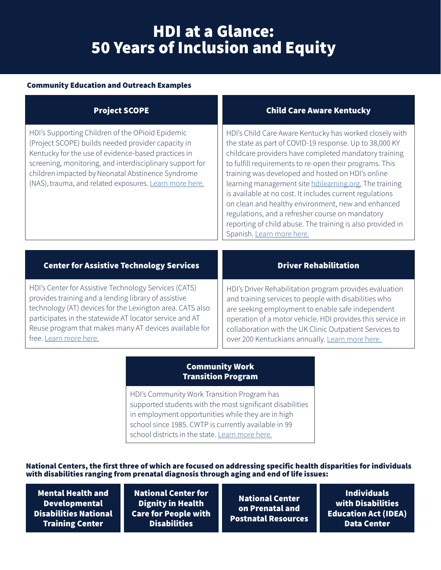### Community Education and Outreach Examples

### [Project SCOPE](https://hdi.uky.edu/project/project-scope)

HDI's Supporting Children of the OPioid Epidemic (Project SCOPE) builds needed provider capacity in Kentucky for the use of evidence-based practices in screening, monitoring, and interdisciplinary support for children impacted by Neonatal Abstinence Syndrome (NAS), trauma, and related exposures. [Learn more here.](https://hdi.uky.edu/project/project-scope)

### [Child Care Aware Kentucky](https://www.childcareawareky.org/)

HDI's Child Care Aware Kentucky has worked closely with the state as part of COVID-19 response. Up to 38,000 KY childcare providers have completed mandatory training to fulfill requirements to re-open their programs. This training was developed and hosted on HDI's online learning management site [hdilearning.org.](http://www.hdilearning.org) The training is available at no cost. It includes current regulations on clean and healthy environment, new and enhanced regulations, and a refresher course on mandatory reporting of child abuse. The training is also provided in Spanish. [Learn more here.](https://www.childcareawareky.org/)

## [Center for Assistive Technology Services](https://hdi.uky.edu/hdicats)

HDI's Center for Assistive Technology Services (CATS) provides training and a lending library of assistive technology (AT) devices for the Lexington area. CATS also participates in the statewide AT locator service and AT Reuse program that makes many AT devices available for free. [Learn more here.](https://hdi.uky.edu/hdicats)

## [Driver Rehabilitation](https://hdi.uky.edu/project/driver-rehabilitation)

HDI's Driver Rehabilitation program provides evaluation and training services to people with disabilities who are seeking employment to enable safe independent operation of a motor vehicle. HDI provides this service in collaboration with the UK Clinic Outpatient Services to over 200 Kentuckians annually. [Learn more here.](https://hdi.uky.edu/project/driver-rehabilitation) 

### Community Work [Transition Program](https://hdi.uky.edu/cwtp)

HDI's Community Work Transition Program has supported students with the most significant disabilities in employment opportunities while they are in high school since 1985. CWTP is currently available in 99 school districts in the state. [Learn more here.](https://hdi.uky.edu/cwtp)

National Centers, the first three of which are focused on addressing specific health disparities for individuals with disabilities ranging from prenatal diagnosis through aging and end of life issues:

Mental Health and **Developmental** [Disabilities National](https://www.mhddcenter.org/)  Training Center

National Center for Dignity in Health [Care for People with](https://hdi.uky.edu/project/center-for-dignity-in-healthcare-for-people-with-disabilities)  **Disabilities** 

National Center on Prenatal and [Postnatal Resources](https://www.lettercase.org/)

Individuals with Disabilities [Education Act \(IDEA\)](https://hdi.uky.edu/project/idea-data-center)  Data Center